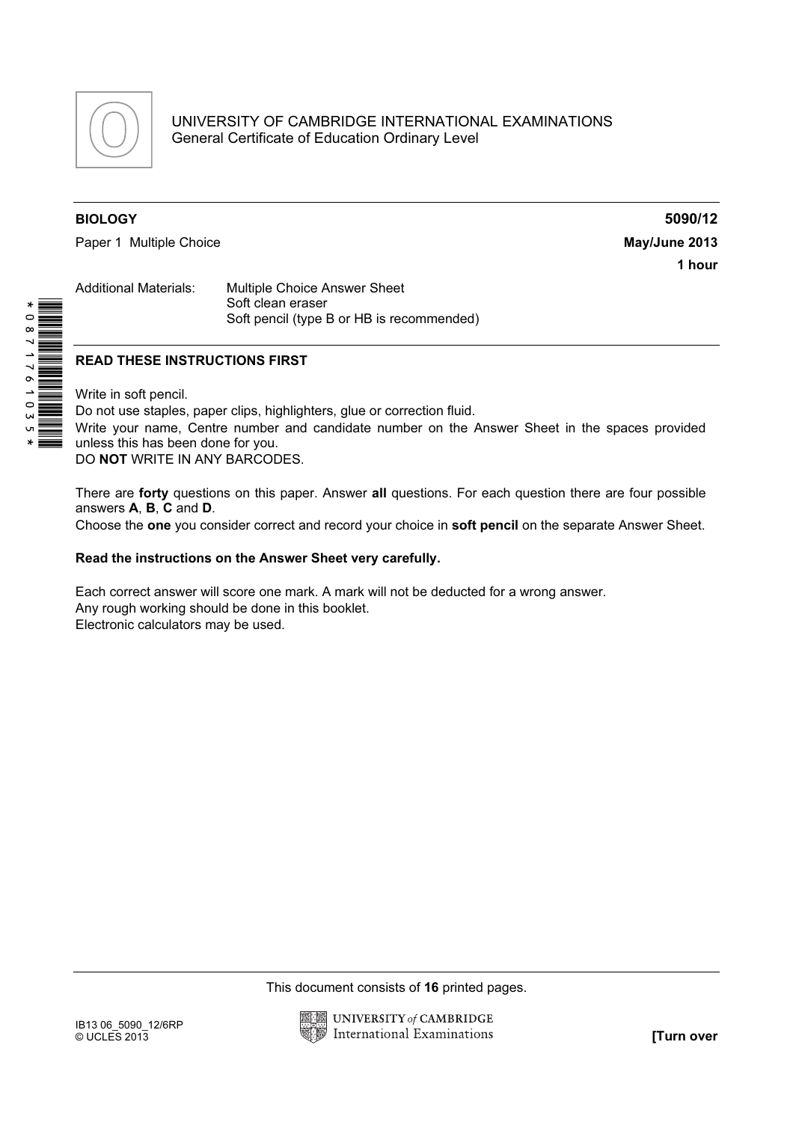

Paper 1 Multiple Choice **May/June 2013** 

BIOLOGY 5090/12 1 hour

| Multiple Choice Answer Sheet              |
|-------------------------------------------|
| Soft clean eraser                         |
| Soft pencil (type B or HB is recommended) |
|                                           |

## READ THESE INSTRUCTIONS FIRST

Write in soft pencil.

176103

Do not use staples, paper clips, highlighters, glue or correction fluid.

Write your name, Centre number and candidate number on the Answer Sheet in the spaces provided unless this has been done for you.

DO NOT WRITE IN ANY BARCODES.

 \*0871761035\* There are forty questions on this paper. Answer all questions. For each question there are four possible answers A, B, C and D.

Choose the one you consider correct and record your choice in soft pencil on the separate Answer Sheet.

## Read the instructions on the Answer Sheet very carefully.

Each correct answer will score one mark. A mark will not be deducted for a wrong answer. Any rough working should be done in this booklet. Electronic calculators may be used.

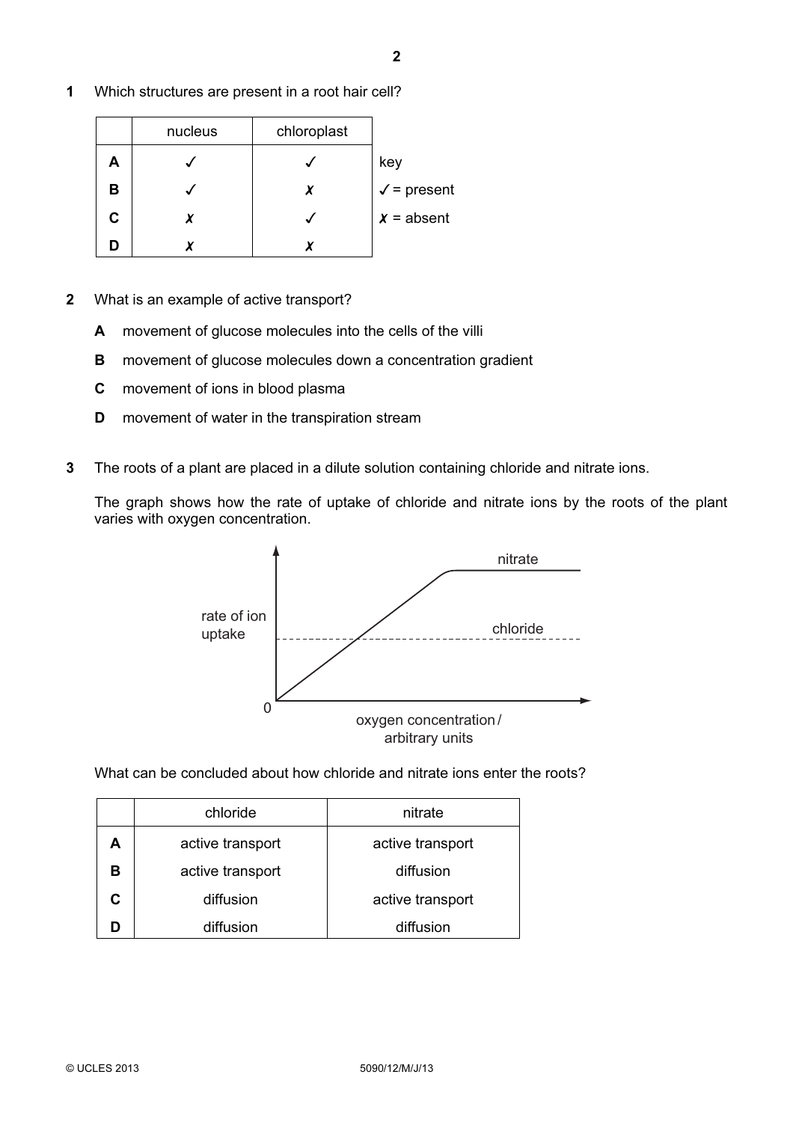1 Which structures are present in a root hair cell?

|   | nucleus | chloroplast |                      |
|---|---------|-------------|----------------------|
| A |         |             | key                  |
| в |         | x           | $\sqrt{ }$ = present |
| C |         |             | $x =$ absent         |
|   |         |             |                      |

- 2 What is an example of active transport?
	- A movement of glucose molecules into the cells of the villi
	- **B** movement of glucose molecules down a concentration gradient
	- C movement of ions in blood plasma
	- **D** movement of water in the transpiration stream
- 3 The roots of a plant are placed in a dilute solution containing chloride and nitrate ions.

The graph shows how the rate of uptake of chloride and nitrate ions by the roots of the plant varies with oxygen concentration.



What can be concluded about how chloride and nitrate ions enter the roots?

|    | chloride         | nitrate          |
|----|------------------|------------------|
| А  | active transport | active transport |
| в  | active transport | diffusion        |
| C. | diffusion        | active transport |
|    | diffusion        | diffusion        |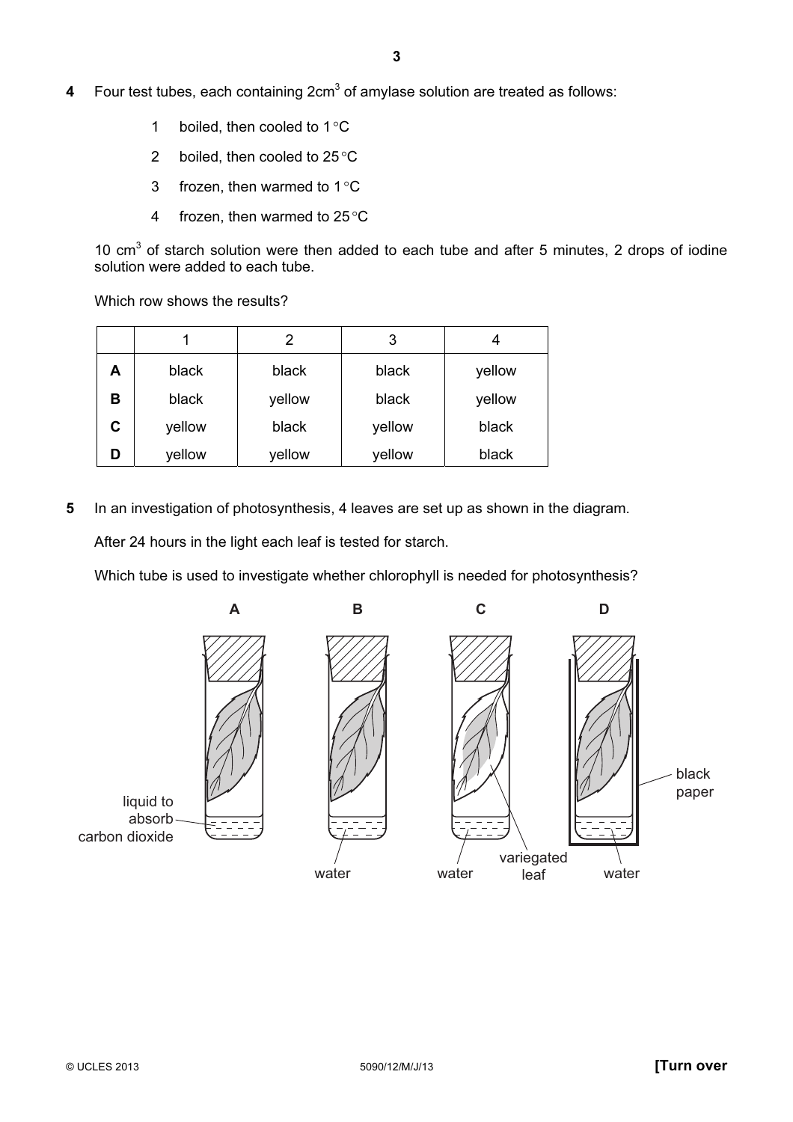- 4 Four test tubes, each containing 2cm<sup>3</sup> of amylase solution are treated as follows:
	- 1 boiled, then cooled to 1°C
	- 2 boiled, then cooled to 25 °C
	- 3 frozen, then warmed to  $1^{\circ}$ C
	- 4 frozen, then warmed to 25°C

10  $\text{cm}^3$  of starch solution were then added to each tube and after 5 minutes, 2 drops of iodine solution were added to each tube.

Which row shows the results?

|   |        |        | 3      |        |
|---|--------|--------|--------|--------|
| A | black  | black  | black  | yellow |
| В | black  | yellow | black  | yellow |
| C | yellow | black  | yellow | black  |
|   | yellow | yellow | yellow | black  |

5 In an investigation of photosynthesis, 4 leaves are set up as shown in the diagram.

After 24 hours in the light each leaf is tested for starch.

Which tube is used to investigate whether chlorophyll is needed for photosynthesis?

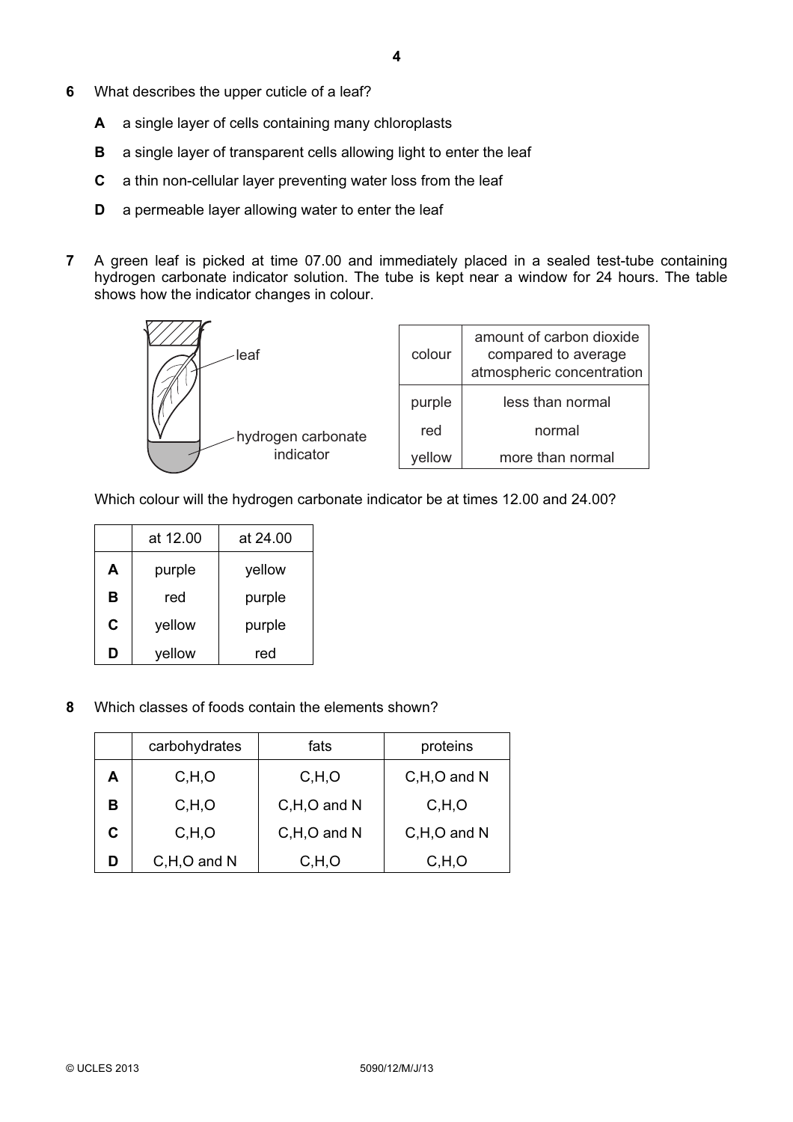- 6 What describes the upper cuticle of a leaf?
	- A a single layer of cells containing many chloroplasts
	- **B** a single layer of transparent cells allowing light to enter the leaf
	- C a thin non-cellular layer preventing water loss from the leaf
	- D a permeable layer allowing water to enter the leaf
- 7 A green leaf is picked at time 07.00 and immediately placed in a sealed test-tube containing hydrogen carbonate indicator solution. The tube is kept near a window for 24 hours. The table shows how the indicator changes in colour.



Which colour will the hydrogen carbonate indicator be at times 12.00 and 24.00?

|   | at 12.00 | at 24.00 |
|---|----------|----------|
| A | purple   | yellow   |
| в | red      | purple   |
| C | yellow   | purple   |
| D | yellow   | red      |

8 Which classes of foods contain the elements shown?

|   | carbohydrates   | fats            | proteins    |
|---|-----------------|-----------------|-------------|
| A | C, H, O         | C, H, O         | C,H,O and N |
| в | C, H, O         | C,H,O and N     | C, H, O     |
| C | C, H, O         | $C, H, O$ and N | C,H,O and N |
|   | $C, H, O$ and N | C, H, O         | C, H, O     |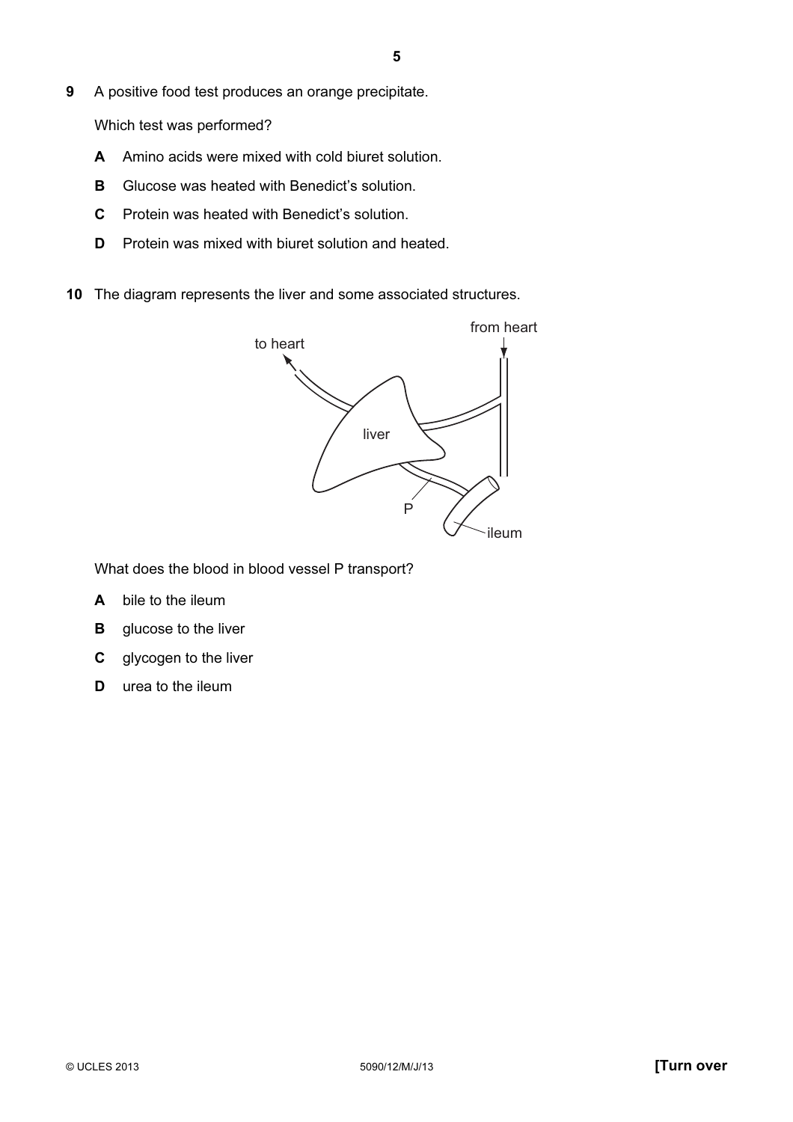9 A positive food test produces an orange precipitate.

Which test was performed?

- A Amino acids were mixed with cold biuret solution.
- **B** Glucose was heated with Benedict's solution.
- C Protein was heated with Benedict's solution.
- D Protein was mixed with biuret solution and heated.
- 10 The diagram represents the liver and some associated structures.



What does the blood in blood vessel P transport?

- A bile to the ileum
- **B** glucose to the liver
- C glycogen to the liver
- D urea to the ileum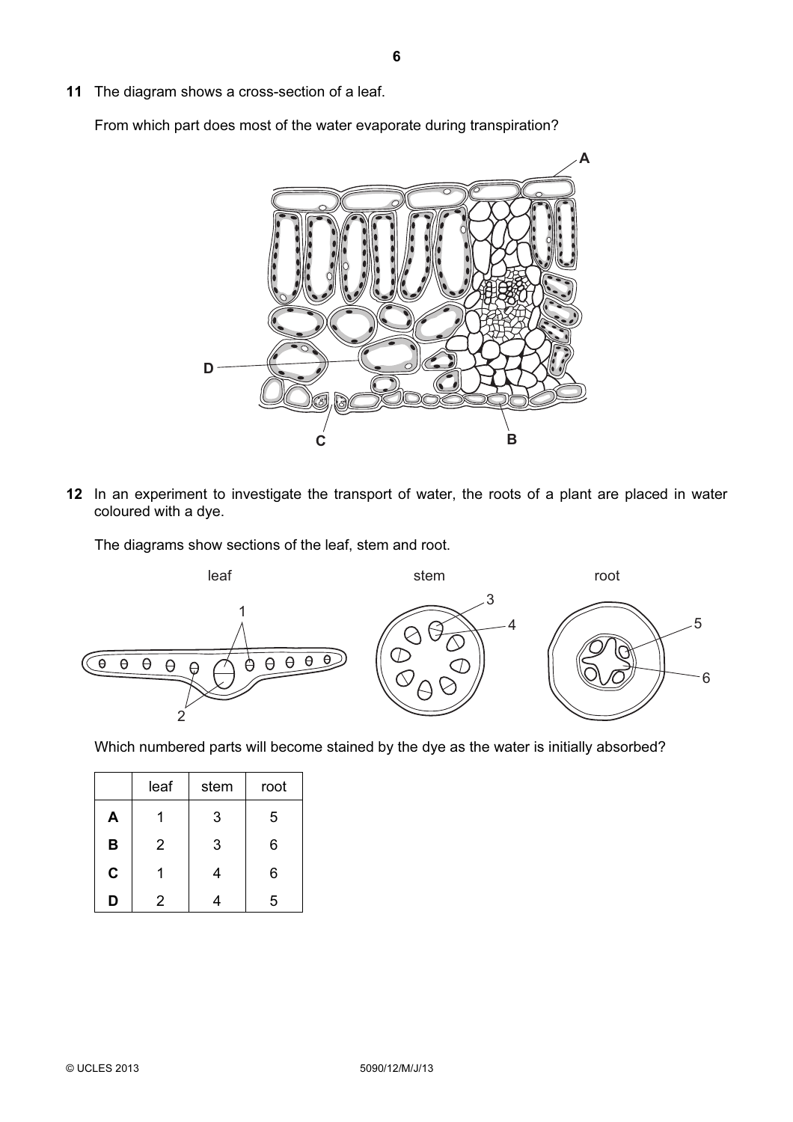11 The diagram shows a cross-section of a leaf.

From which part does most of the water evaporate during transpiration?



12 In an experiment to investigate the transport of water, the roots of a plant are placed in water coloured with a dye.

The diagrams show sections of the leaf, stem and root.



Which numbered parts will become stained by the dye as the water is initially absorbed?

|             | leaf           | stem | root |
|-------------|----------------|------|------|
| A           |                | 3    | 5    |
| B           | $\overline{2}$ | 3    | 6    |
| $\mathbf C$ |                | 4    | 6    |
| D           | 2              |      | 5    |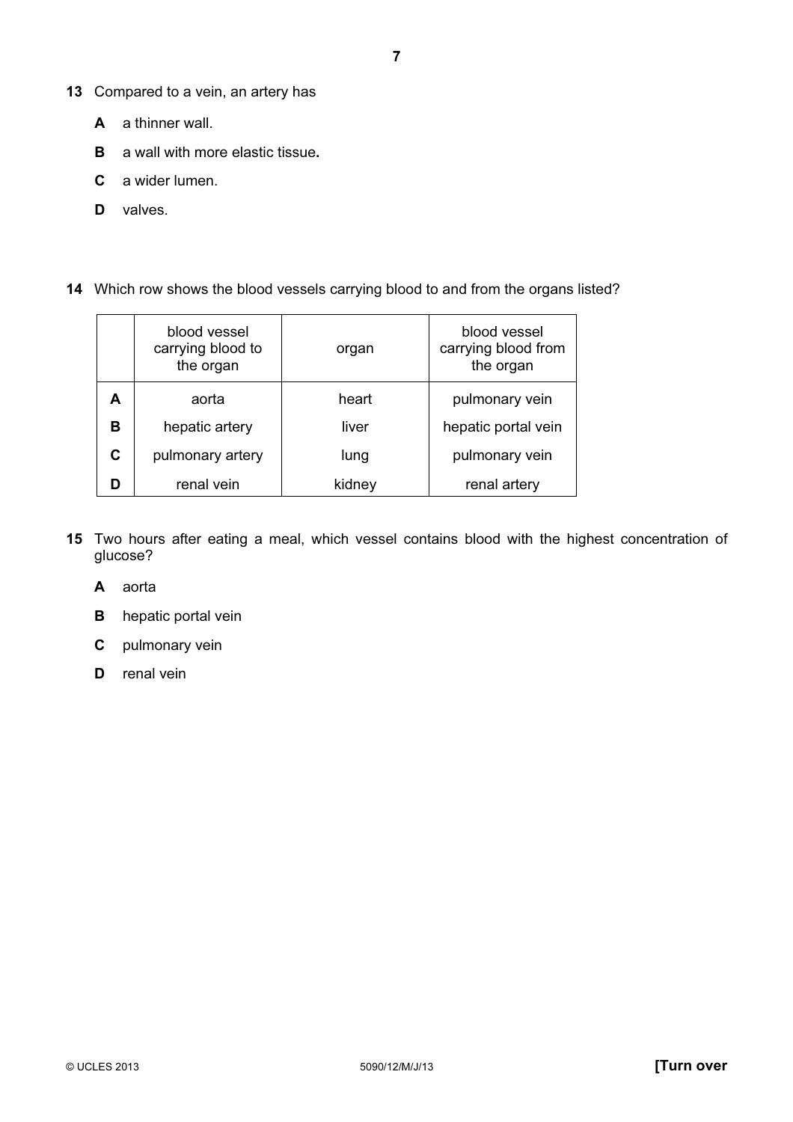- 13 Compared to a vein, an artery has
	- A a thinner wall.
	- **B** a wall with more elastic tissue.
	- C a wider lumen.
	- D valves.
- 14 Which row shows the blood vessels carrying blood to and from the organs listed?

|   | blood vessel<br>carrying blood to<br>the organ | organ  | blood vessel<br>carrying blood from<br>the organ |
|---|------------------------------------------------|--------|--------------------------------------------------|
| A | aorta                                          | heart  | pulmonary vein                                   |
| в | hepatic artery                                 | liver  | hepatic portal vein                              |
| C | pulmonary artery                               | lung   | pulmonary vein                                   |
| D | renal vein                                     | kidney | renal artery                                     |

- 15 Two hours after eating a meal, which vessel contains blood with the highest concentration of glucose?
	- A aorta
	- **B** hepatic portal vein
	- C pulmonary vein
	- D renal vein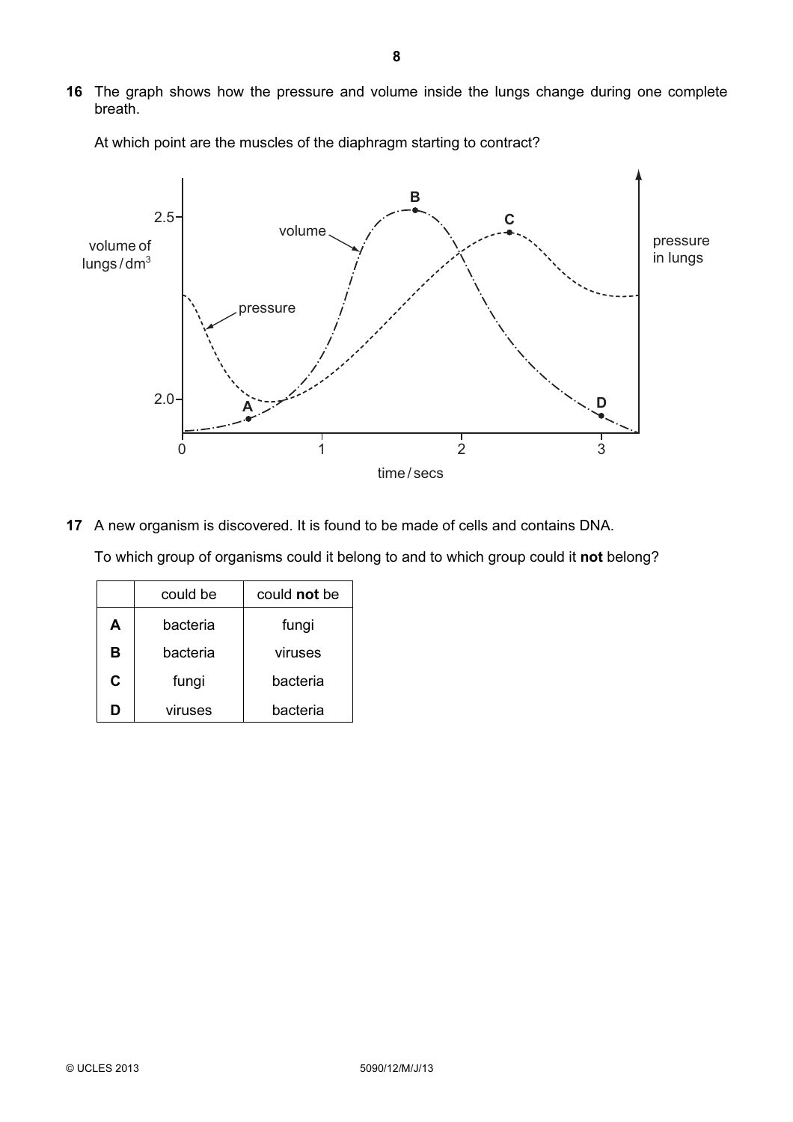16 The graph shows how the pressure and volume inside the lungs change during one complete breath.



At which point are the muscles of the diaphragm starting to contract?

17 A new organism is discovered. It is found to be made of cells and contains DNA.

To which group of organisms could it belong to and to which group could it not belong?

|   | could be | could not be |
|---|----------|--------------|
| А | bacteria | fungi        |
| в | bacteria | viruses      |
| С | fungi    | bacteria     |
| Ŋ | viruses  | bacteria     |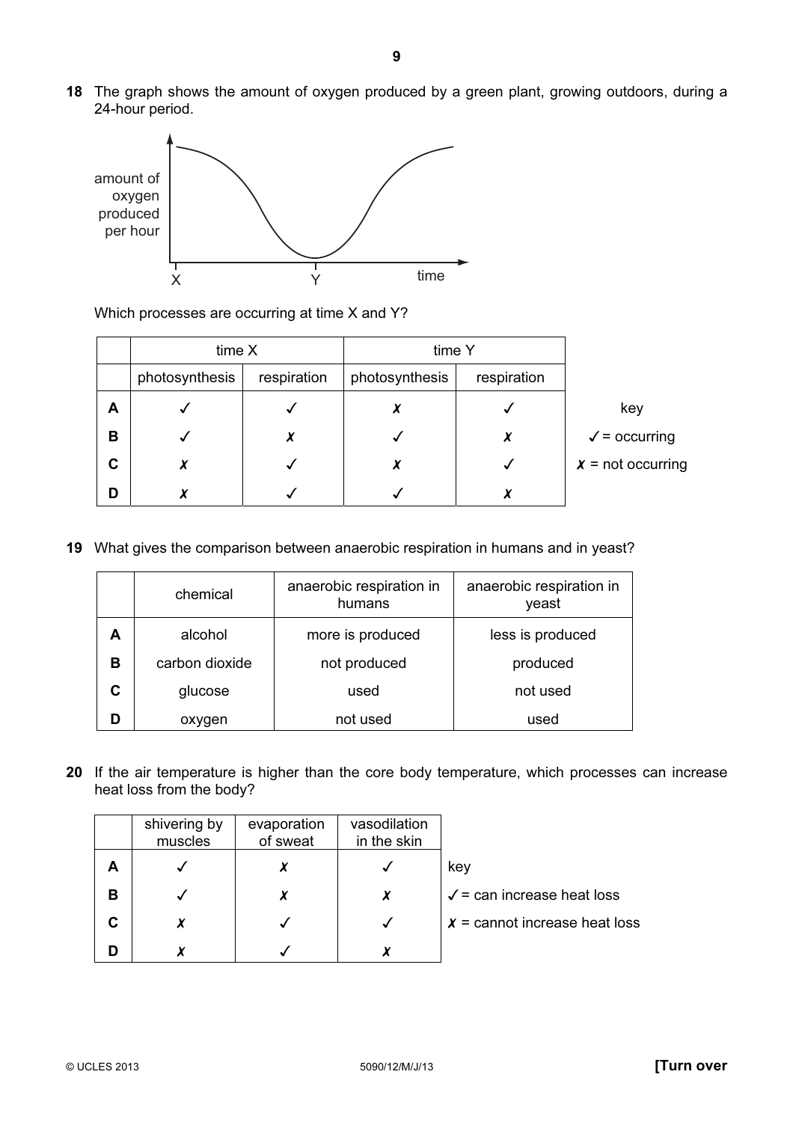18 The graph shows the amount of oxygen produced by a green plant, growing outdoors, during a 24-hour period.



Which processes are occurring at time X and Y?

|   | time X         |             | time Y         |             |                                  |
|---|----------------|-------------|----------------|-------------|----------------------------------|
|   | photosynthesis | respiration | photosynthesis | respiration |                                  |
| A |                |             |                |             | key                              |
| B |                | X           |                | X           | $\sqrt{\phantom{a}}$ = occurring |
| С |                |             |                |             | $x = not occurring$              |
| D |                |             |                |             |                                  |

19 What gives the comparison between anaerobic respiration in humans and in yeast?

|   | chemical       | anaerobic respiration in<br>humans | anaerobic respiration in<br>yeast |
|---|----------------|------------------------------------|-----------------------------------|
| А | alcohol        | more is produced                   | less is produced                  |
| в | carbon dioxide | not produced                       | produced                          |
| C | glucose        | used                               | not used                          |
|   | oxygen         | not used                           | used                              |

20 If the air temperature is higher than the core body temperature, which processes can increase heat loss from the body?

|   | shivering by<br>muscles | evaporation<br>of sweat | vasodilation<br>in the skin |                                       |
|---|-------------------------|-------------------------|-----------------------------|---------------------------------------|
| А |                         |                         |                             | key                                   |
| в |                         |                         |                             | $\checkmark$ = can increase heat loss |
| С |                         |                         |                             | $x =$ cannot increase heat loss       |
| D |                         |                         |                             |                                       |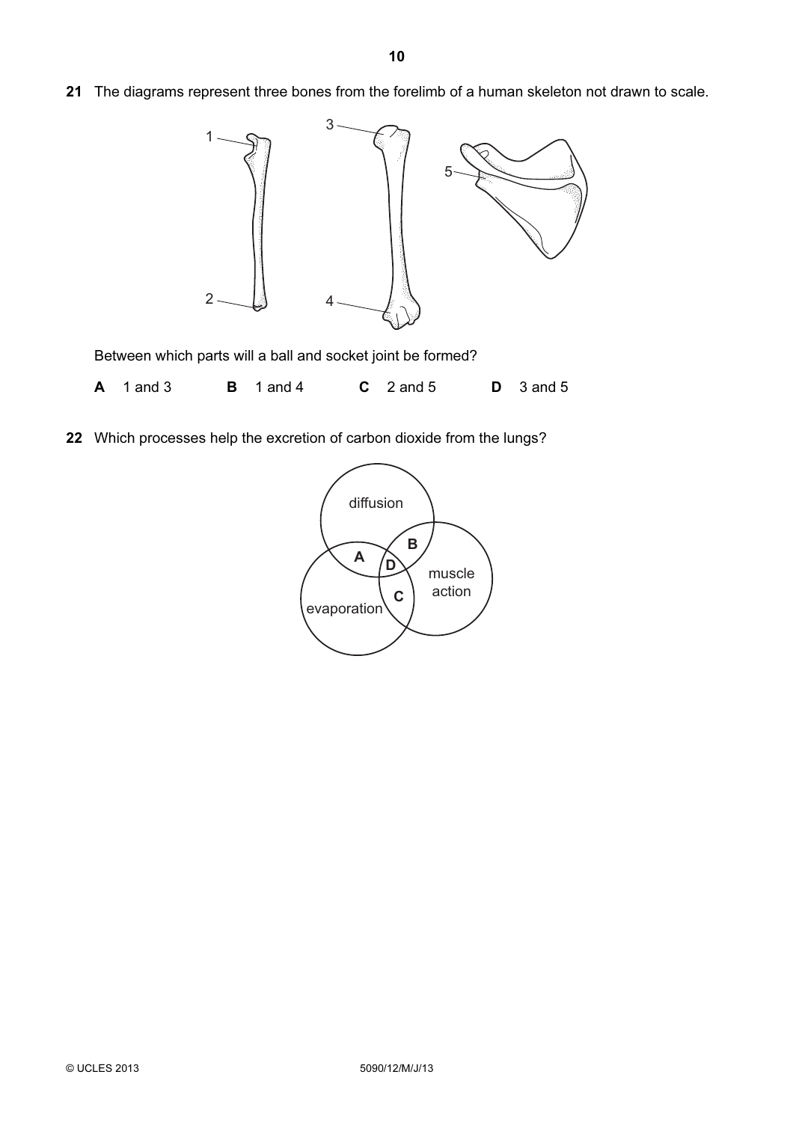21 The diagrams represent three bones from the forelimb of a human skeleton not drawn to scale.



Between which parts will a ball and socket joint be formed?

|  | $A \quad 1 \text{ and } 3$ |  | $\mathbf{B}$ 1 and 4 |  | $C \quad 2$ and 5 |  | $D \quad 3$ and 5 |
|--|----------------------------|--|----------------------|--|-------------------|--|-------------------|
|--|----------------------------|--|----------------------|--|-------------------|--|-------------------|

22 Which processes help the excretion of carbon dioxide from the lungs?

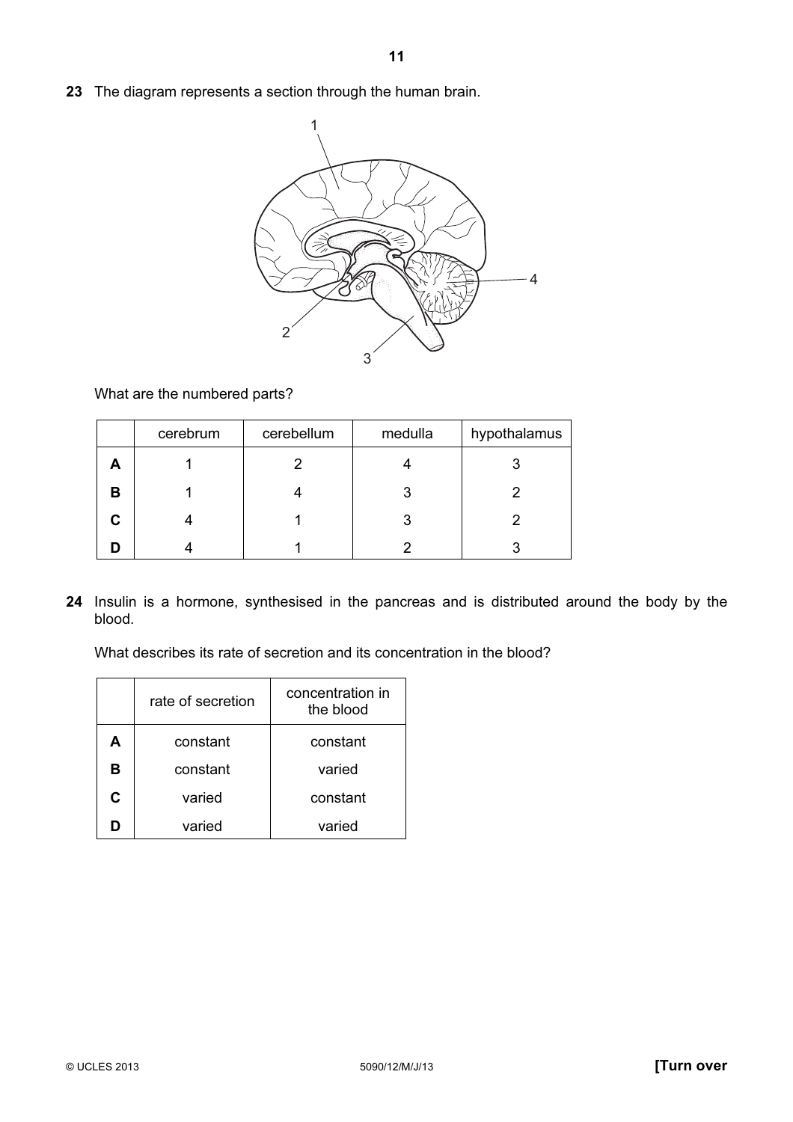23 The diagram represents a section through the human brain.



## What are the numbered parts?

|   | cerebrum | cerebellum | medulla | hypothalamus |
|---|----------|------------|---------|--------------|
|   |          |            |         |              |
| в |          |            | C.      |              |
| C |          |            |         |              |
|   |          |            |         |              |

24 Insulin is a hormone, synthesised in the pancreas and is distributed around the body by the blood.

What describes its rate of secretion and its concentration in the blood?

|   | rate of secretion | concentration in<br>the blood |
|---|-------------------|-------------------------------|
| Α | constant          | constant                      |
| в | constant          | varied                        |
| C | varied            | constant                      |
|   | varied            | varied                        |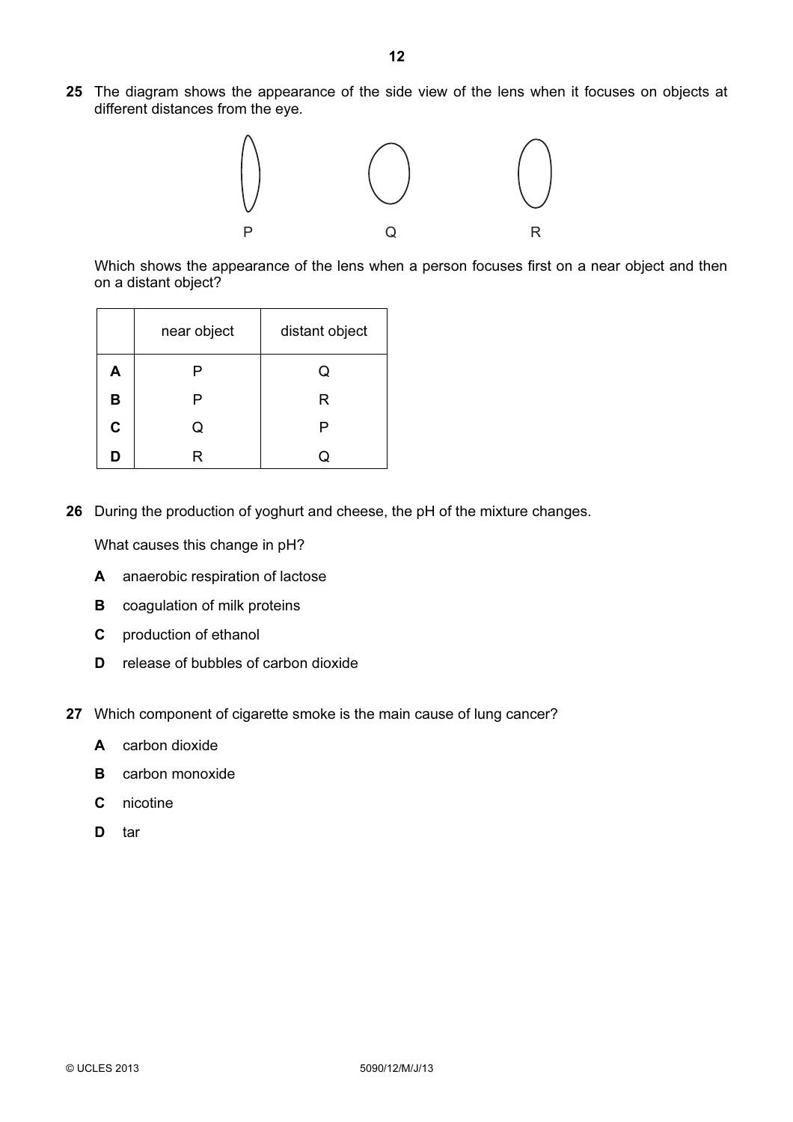25 The diagram shows the appearance of the side view of the lens when it focuses on objects at different distances from the eye.



Which shows the appearance of the lens when a person focuses first on a near object and then on a distant object?

|   | near object | distant object |
|---|-------------|----------------|
| Α | P           | Q              |
| В | P           | R              |
| C | Q           | P              |
| n | R           |                |

26 During the production of yoghurt and cheese, the pH of the mixture changes.

What causes this change in pH?

- A anaerobic respiration of lactose
- **B** coagulation of milk proteins
- C production of ethanol
- D release of bubbles of carbon dioxide
- 27 Which component of cigarette smoke is the main cause of lung cancer?
	- A carbon dioxide
	- **B** carbon monoxide
	- C nicotine
	- D tar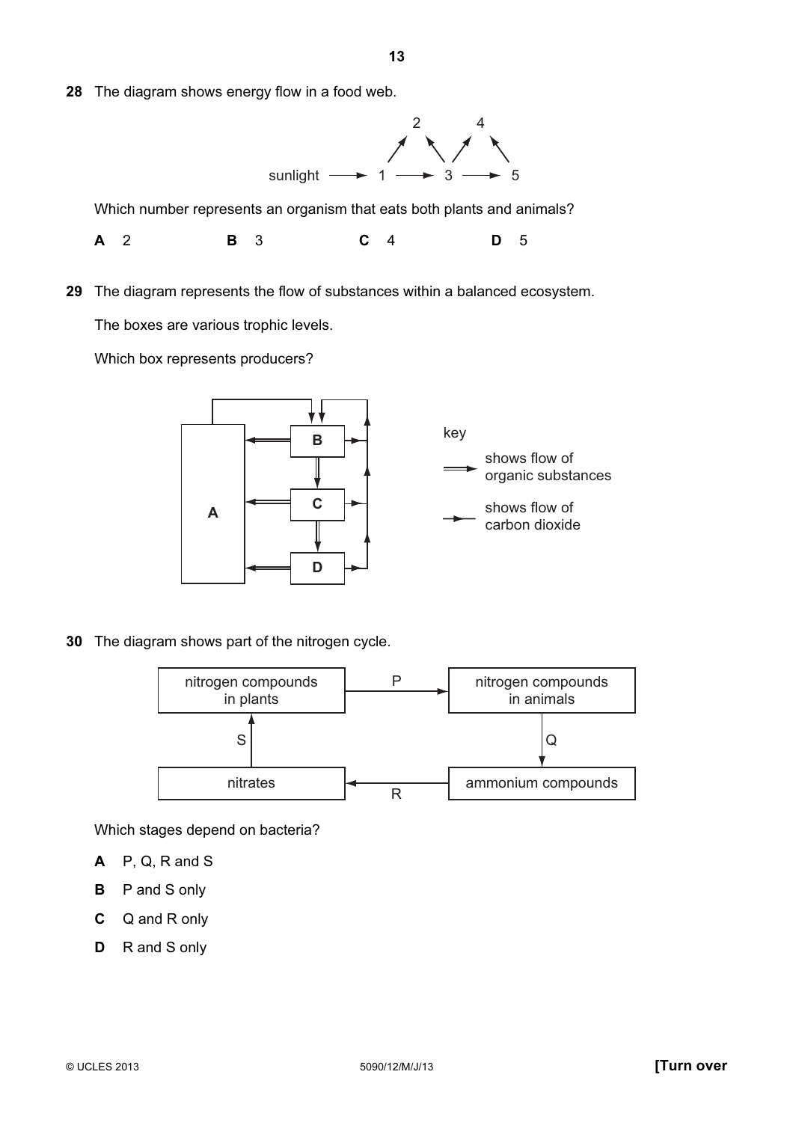28 The diagram shows energy flow in a food web.



Which number represents an organism that eats both plants and animals?

**A** 2 **B** 3 **C** 4 **D** 5

29 The diagram represents the flow of substances within a balanced ecosystem.

The boxes are various trophic levels.

Which box represents producers?



30 The diagram shows part of the nitrogen cycle.



Which stages depend on bacteria?

- A P, Q, R and S
- B P and S only
- C Q and R only
- D R and S only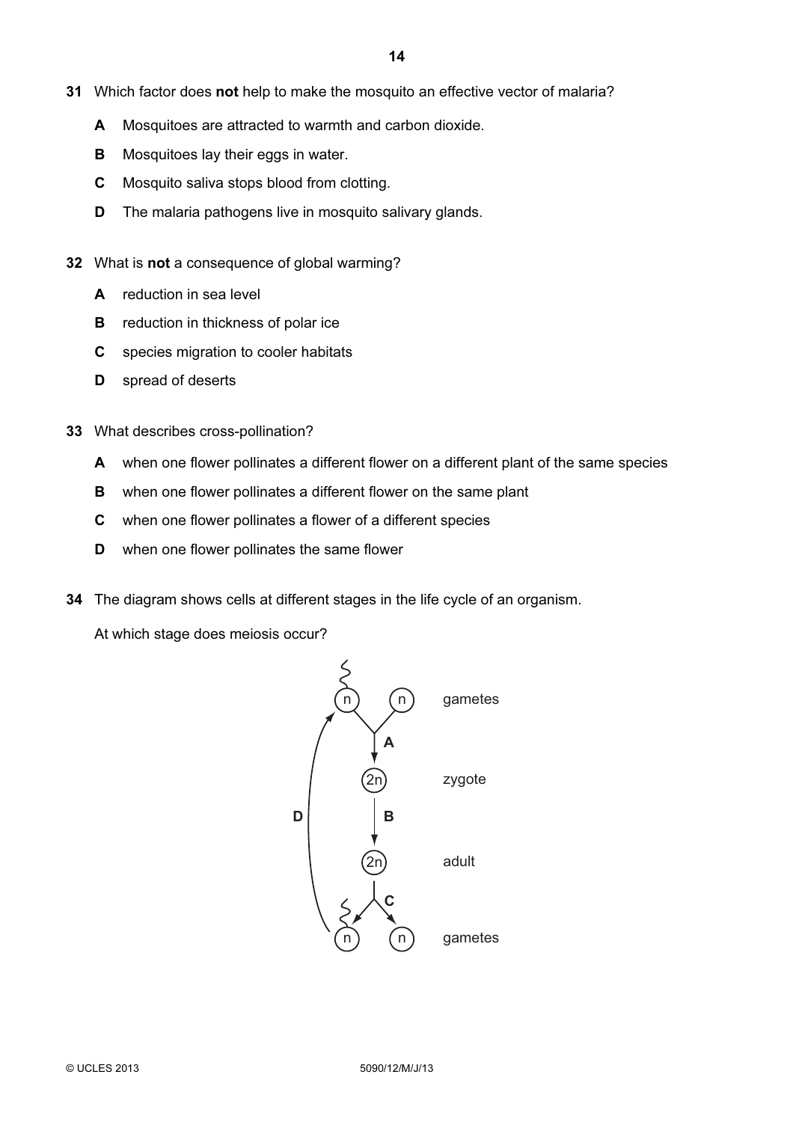- 31 Which factor does not help to make the mosquito an effective vector of malaria?
	- A Mosquitoes are attracted to warmth and carbon dioxide.
	- **B** Mosquitoes lay their eggs in water.
	- C Mosquito saliva stops blood from clotting.
	- D The malaria pathogens live in mosquito salivary glands.
- 32 What is not a consequence of global warming?
	- A reduction in sea level
	- **B** reduction in thickness of polar ice
	- C species migration to cooler habitats
	- D spread of deserts
- 33 What describes cross-pollination?
	- A when one flower pollinates a different flower on a different plant of the same species
	- B when one flower pollinates a different flower on the same plant
	- C when one flower pollinates a flower of a different species
	- D when one flower pollinates the same flower
- 34 The diagram shows cells at different stages in the life cycle of an organism.

At which stage does meiosis occur?

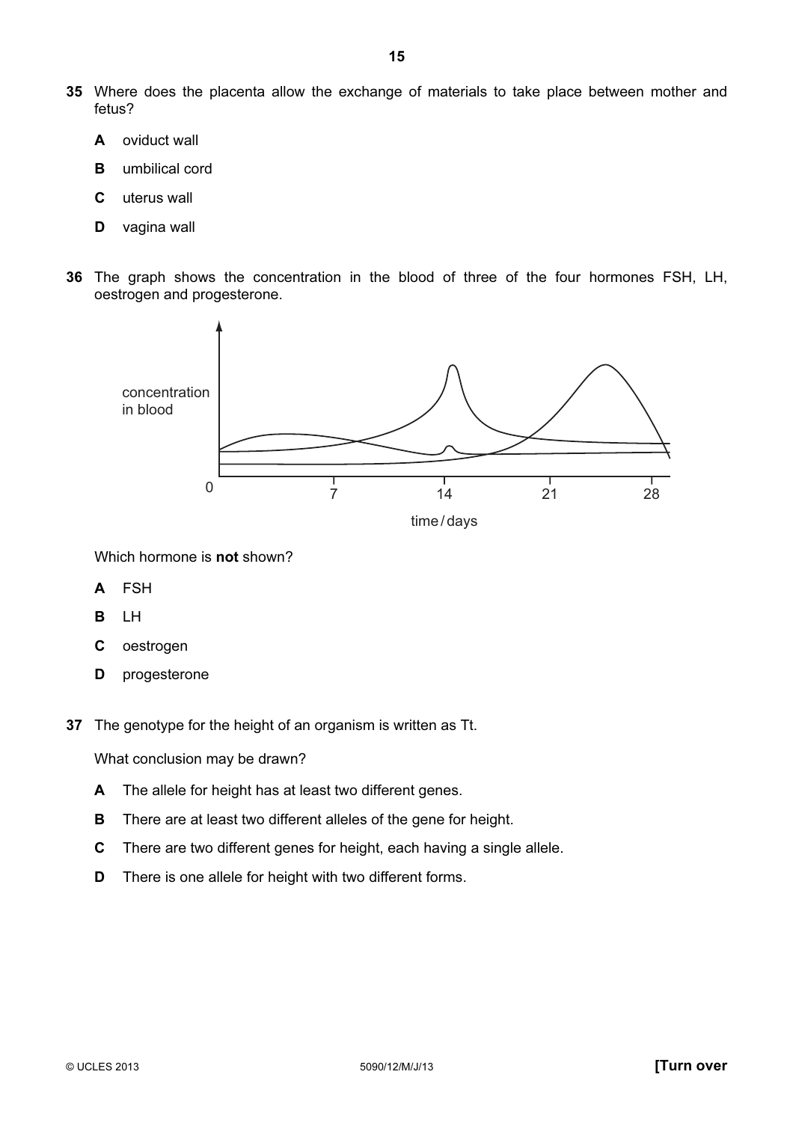- 35 Where does the placenta allow the exchange of materials to take place between mother and fetus?
	- A oviduct wall
	- B umbilical cord
	- C uterus wall
	- D vagina wall
- 36 The graph shows the concentration in the blood of three of the four hormones FSH, LH, oestrogen and progesterone.



Which hormone is **not** shown?

- A FSH
- B LH
- C oestrogen
- D progesterone
- 37 The genotype for the height of an organism is written as Tt.

What conclusion may be drawn?

- A The allele for height has at least two different genes.
- **B** There are at least two different alleles of the gene for height.
- C There are two different genes for height, each having a single allele.
- **D** There is one allele for height with two different forms.